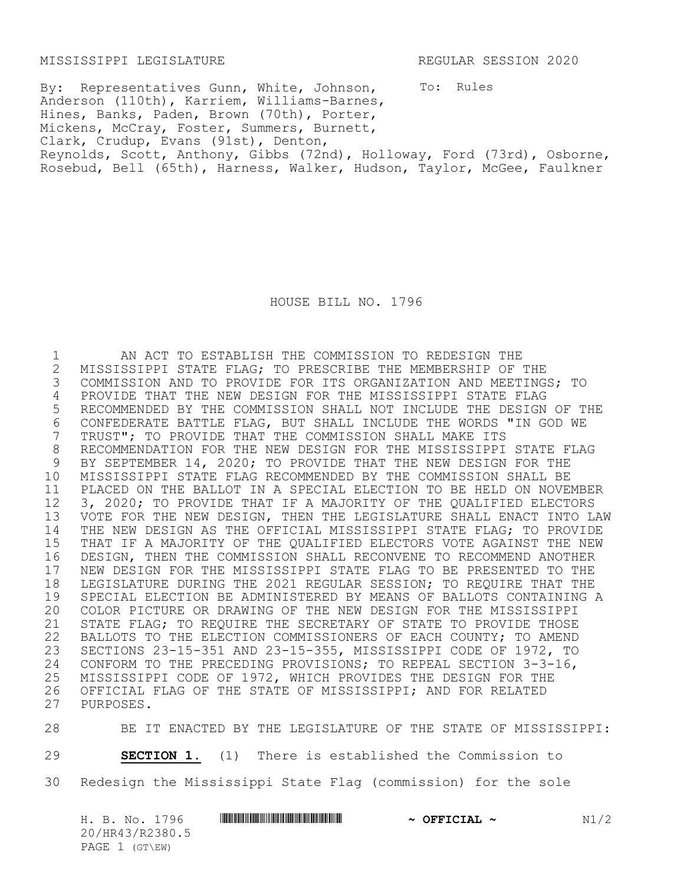MISSISSIPPI LEGISLATURE REGULAR SESSION 2020

To: Rules By: Representatives Gunn, White, Johnson, Anderson (110th), Karriem, Williams-Barnes, Hines, Banks, Paden, Brown (70th), Porter, Mickens, McCray, Foster, Summers, Burnett, Clark, Crudup, Evans (91st), Denton, Reynolds, Scott, Anthony, Gibbs (72nd), Holloway, Ford (73rd), Osborne, Rosebud, Bell (65th), Harness, Walker, Hudson, Taylor, McGee, Faulkner

HOUSE BILL NO. 1796

1 AN ACT TO ESTABLISH THE COMMISSION TO REDESIGN THE 2 MISSISSIPPI STATE FLAG; TO PRESCRIBE THE MEMBERSHIP OF THE<br>3 COMMISSION AND TO PROVIDE FOR ITS ORGANIZATION AND MEETING 3 COMMISSION AND TO PROVIDE FOR ITS ORGANIZATION AND MEETINGS; TO 4 PROVIDE THAT THE NEW DESIGN FOR THE MISSISSIPPI STATE FLAG 5 RECOMMENDED BY THE COMMISSION SHALL NOT INCLUDE THE DESIGN OF THE 6 CONFEDERATE BATTLE FLAG, BUT SHALL INCLUDE THE WORDS "IN GOD WE<br>7 TRUST"; TO PROVIDE THAT THE COMMISSION SHALL MAKE ITS 7 TRUST"; TO PROVIDE THAT THE COMMISSION SHALL MAKE ITS<br>8 RECOMMENDATION FOR THE NEW DESIGN FOR THE MISSISSIPPI 8 RECOMMENDATION FOR THE NEW DESIGN FOR THE MISSISSIPPI STATE FLAG<br>9 BY SEPTEMBER 14, 2020; TO PROVIDE THAT THE NEW DESIGN FOR THE 9 BY SEPTEMBER 14, 2020; TO PROVIDE THAT THE NEW DESIGN FOR THE 10 MISSISSIPPI STATE FLAG RECOMMENDED BY THE COMMISSION SHALL BE 11 PLACED ON THE BALLOT IN A SPECIAL ELECTION TO BE HELD ON NOVEMBER 12 3, 2020; TO PROVIDE THAT IF A MAJORITY OF THE QUALIFIED ELECTORS<br>13 VOTE FOR THE NEW DESIGN, THEN THE LEGISLATURE SHALL ENACT INTO L VOTE FOR THE NEW DESIGN, THEN THE LEGISLATURE SHALL ENACT INTO LAW 14 THE NEW DESIGN AS THE OFFICIAL MISSISSIPPI STATE FLAG; TO PROVIDE 15 THAT IF A MAJORITY OF THE QUALIFIED ELECTORS VOTE AGAINST THE NEW 16 DESIGN, THEN THE COMMISSION SHALL RECONVENE TO RECOMMEND ANOTHER 17 NEW DESIGN FOR THE MISSISSIPPI STATE FLAG TO BE PRESENTED TO THE 18 LEGISLATURE DURING THE 2021 REGULAR SESSION; TO REQUIRE THAT THE 18 LEGISLATURE DURING THE 2021 REGULAR SESSION; TO REQUIRE THAT THE<br>19 SPECIAL ELECTION BE ADMINISTERED BY MEANS OF BALLOTS CONTAINING. 19 SPECIAL ELECTION BE ADMINISTERED BY MEANS OF BALLOTS CONTAINING A<br>20 COLOR PICTURE OR DRAWING OF THE NEW DESIGN FOR THE MISSISSIPPI 20 COLOR PICTURE OR DRAWING OF THE NEW DESIGN FOR THE MISSISSIPPI 21 STATE FLAG; TO REQUIRE THE SECRETARY OF STATE TO PROVIDE THOSE 22 BALLOTS TO THE ELECTION COMMISSIONERS OF EACH COUNTY; TO AMEND 23 SECTIONS 23-15-351 AND 23-15-355, MISSISSIPPI CODE OF 1972, TO 24 CONFORM TO THE PRECEDING PROVISIONS; TO REPEAL SECTION 3-3-16,<br>25 MISSISSIPPI CODE OF 1972, WHICH PROVIDES THE DESIGN FOR THE 25 MISSISSIPPI CODE OF 1972, WHICH PROVIDES THE DESIGN FOR THE 26 OFFICIAL FLAG OF THE STATE OF MISSISSIPPI: AND FOR RELATED 26 OFFICIAL FLAG OF THE STATE OF MISSISSIPPI; AND FOR RELATED 27 PURPOSES. PURPOSES.

28 BE IT ENACTED BY THE LEGISLATURE OF THE STATE OF MISSISSIPPI: 29 **SECTION 1.** (1) There is established the Commission to 30 Redesign the Mississippi State Flag (commission) for the sole

|  |                | H. B. No. 1796  |  | $\sim$ OFFICIAL $\sim$ | N1/2 |
|--|----------------|-----------------|--|------------------------|------|
|  |                | 20/HR43/R2380.5 |  |                        |      |
|  | PAGE 1 (GT\EW) |                 |  |                        |      |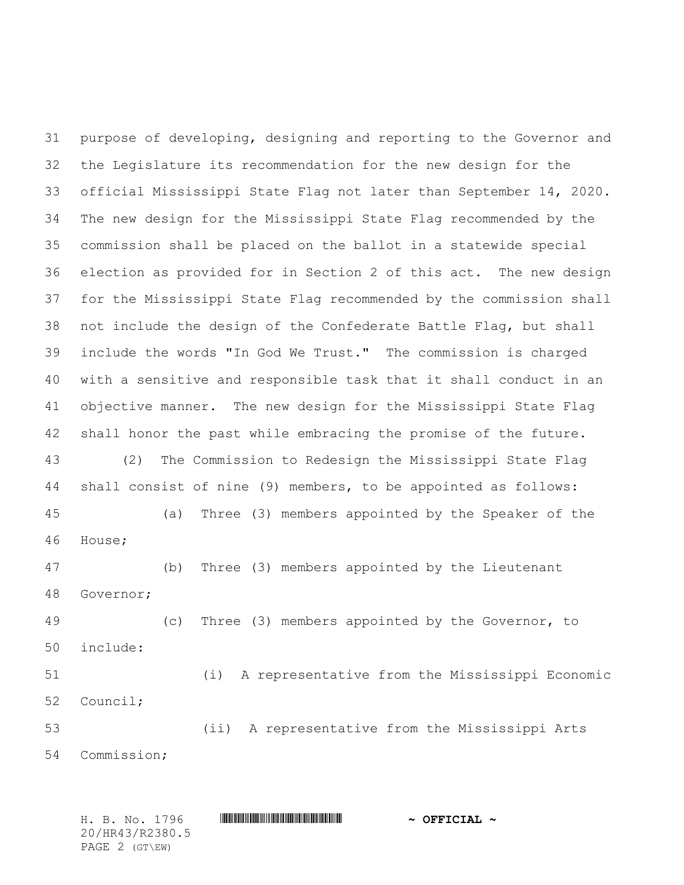purpose of developing, designing and reporting to the Governor and the Legislature its recommendation for the new design for the official Mississippi State Flag not later than September 14, 2020. The new design for the Mississippi State Flag recommended by the commission shall be placed on the ballot in a statewide special election as provided for in Section 2 of this act. The new design for the Mississippi State Flag recommended by the commission shall not include the design of the Confederate Battle Flag, but shall include the words "In God We Trust." The commission is charged with a sensitive and responsible task that it shall conduct in an objective manner. The new design for the Mississippi State Flag shall honor the past while embracing the promise of the future. (2) The Commission to Redesign the Mississippi State Flag shall consist of nine (9) members, to be appointed as follows: (a) Three (3) members appointed by the Speaker of the House; (b) Three (3) members appointed by the Lieutenant Governor; (c) Three (3) members appointed by the Governor, to include: (i) A representative from the Mississippi Economic Council; (ii) A representative from the Mississippi Arts Commission;

H. B. No. 1796 \*HR43/R2380.5\* **~ OFFICIAL ~** 20/HR43/R2380.5 PAGE 2 (GT\EW)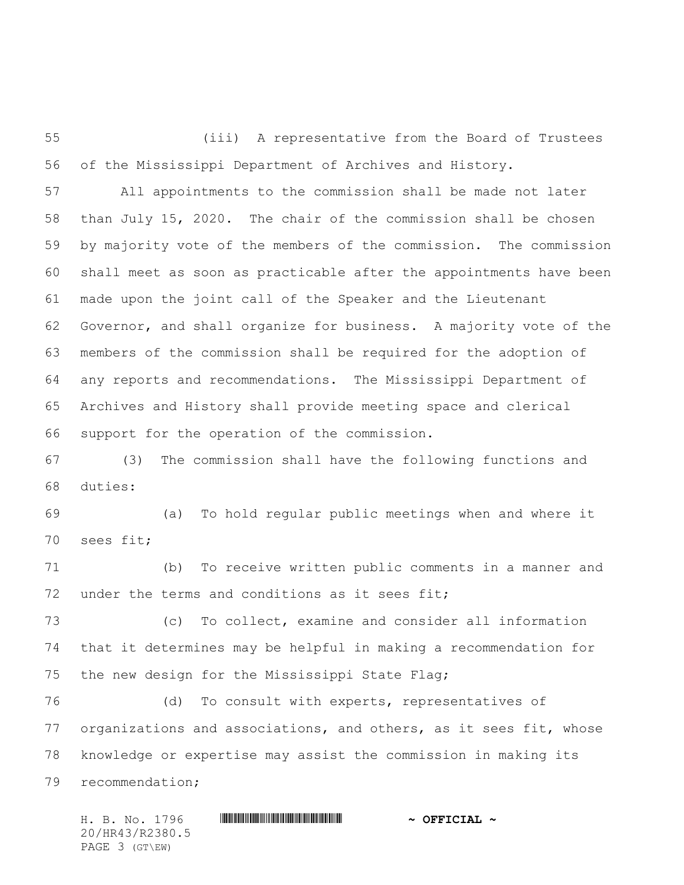(iii) A representative from the Board of Trustees of the Mississippi Department of Archives and History.

 All appointments to the commission shall be made not later than July 15, 2020. The chair of the commission shall be chosen by majority vote of the members of the commission. The commission shall meet as soon as practicable after the appointments have been made upon the joint call of the Speaker and the Lieutenant Governor, and shall organize for business. A majority vote of the members of the commission shall be required for the adoption of any reports and recommendations. The Mississippi Department of Archives and History shall provide meeting space and clerical support for the operation of the commission.

 (3) The commission shall have the following functions and duties:

 (a) To hold regular public meetings when and where it sees fit;

 (b) To receive written public comments in a manner and 72 under the terms and conditions as it sees fit;

 (c) To collect, examine and consider all information that it determines may be helpful in making a recommendation for the new design for the Mississippi State Flag;

 (d) To consult with experts, representatives of organizations and associations, and others, as it sees fit, whose knowledge or expertise may assist the commission in making its recommendation;

H. B. No. 1796 \*HR43/R2380.5\* **~ OFFICIAL ~** 20/HR43/R2380.5 PAGE 3 (GT\EW)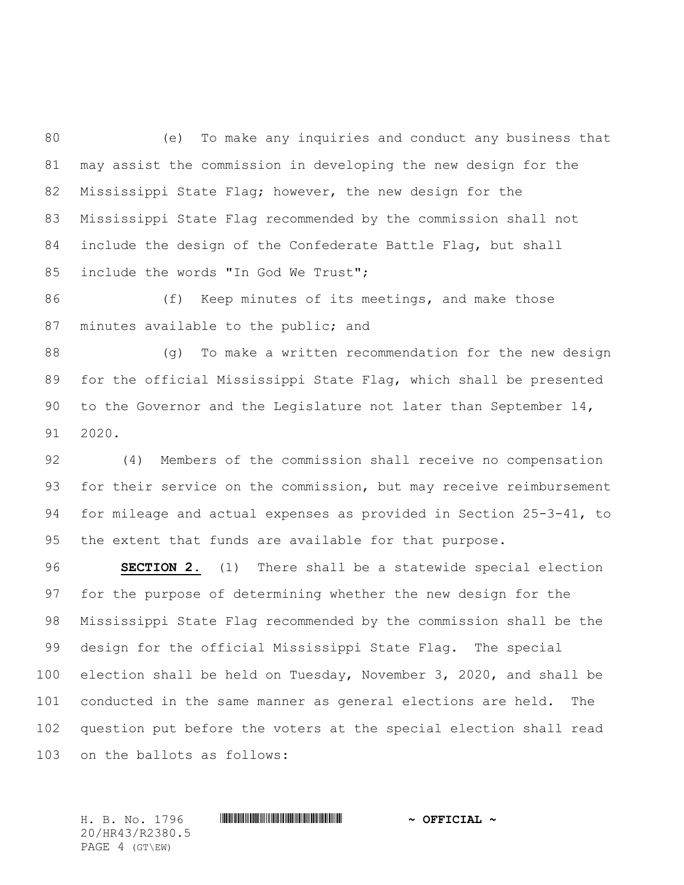(e) To make any inquiries and conduct any business that may assist the commission in developing the new design for the Mississippi State Flag; however, the new design for the Mississippi State Flag recommended by the commission shall not include the design of the Confederate Battle Flag, but shall include the words "In God We Trust";

86 (f) Keep minutes of its meetings, and make those 87 minutes available to the public; and

 (g) To make a written recommendation for the new design for the official Mississippi State Flag, which shall be presented to the Governor and the Legislature not later than September 14, 2020.

 (4) Members of the commission shall receive no compensation for their service on the commission, but may receive reimbursement for mileage and actual expenses as provided in Section 25-3-41, to the extent that funds are available for that purpose.

 **SECTION 2.** (1) There shall be a statewide special election for the purpose of determining whether the new design for the Mississippi State Flag recommended by the commission shall be the design for the official Mississippi State Flag. The special election shall be held on Tuesday, November 3, 2020, and shall be conducted in the same manner as general elections are held. The question put before the voters at the special election shall read on the ballots as follows:

H. B. No. 1796 \*HR43/R2380.5\* **~ OFFICIAL ~** 20/HR43/R2380.5 PAGE 4 (GT\EW)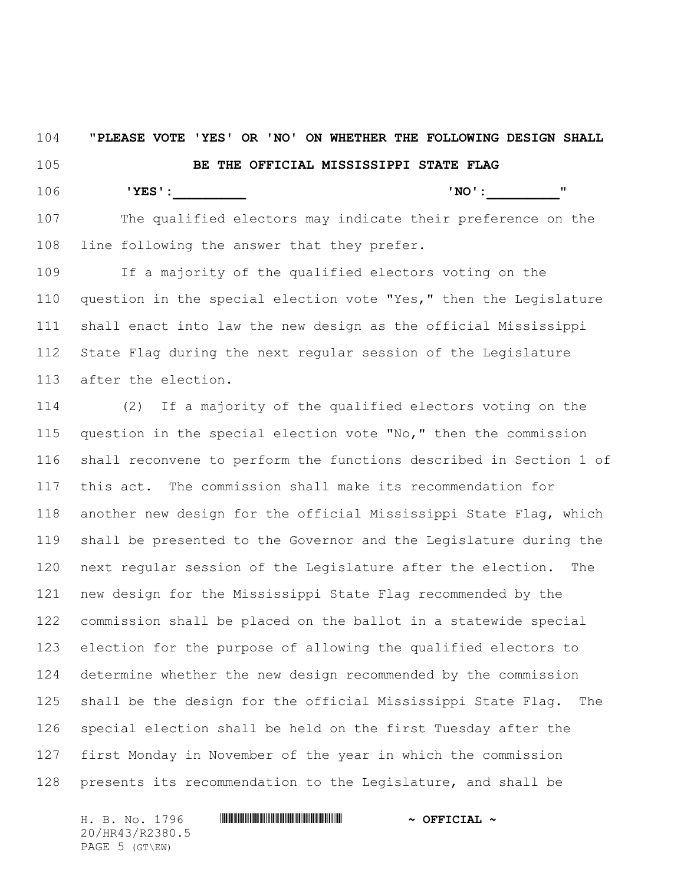**"PLEASE VOTE 'YES' OR 'NO' ON WHETHER THE FOLLOWING DESIGN SHALL BE THE OFFICIAL MISSISSIPPI STATE FLAG 'YES':\_\_\_\_\_\_\_\_\_ 'NO':\_\_\_\_\_\_\_\_\_"**

 The qualified electors may indicate their preference on the line following the answer that they prefer.

 If a majority of the qualified electors voting on the question in the special election vote "Yes," then the Legislature shall enact into law the new design as the official Mississippi State Flag during the next regular session of the Legislature after the election.

 (2) If a majority of the qualified electors voting on the question in the special election vote "No," then the commission shall reconvene to perform the functions described in Section 1 of this act. The commission shall make its recommendation for another new design for the official Mississippi State Flag, which shall be presented to the Governor and the Legislature during the next regular session of the Legislature after the election. The new design for the Mississippi State Flag recommended by the commission shall be placed on the ballot in a statewide special election for the purpose of allowing the qualified electors to determine whether the new design recommended by the commission shall be the design for the official Mississippi State Flag. The special election shall be held on the first Tuesday after the first Monday in November of the year in which the commission presents its recommendation to the Legislature, and shall be

H. B. No. 1796 \*HR43/R2380.5\* **~ OFFICIAL ~** 20/HR43/R2380.5 PAGE 5 (GT\EW)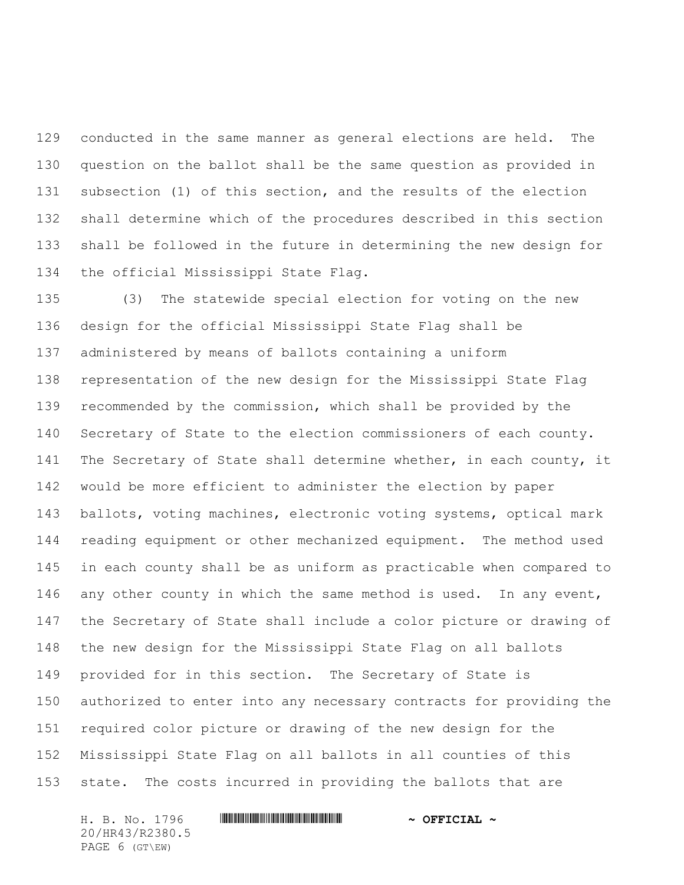conducted in the same manner as general elections are held. The question on the ballot shall be the same question as provided in subsection (1) of this section, and the results of the election shall determine which of the procedures described in this section shall be followed in the future in determining the new design for the official Mississippi State Flag.

 (3) The statewide special election for voting on the new design for the official Mississippi State Flag shall be administered by means of ballots containing a uniform representation of the new design for the Mississippi State Flag recommended by the commission, which shall be provided by the Secretary of State to the election commissioners of each county. 141 The Secretary of State shall determine whether, in each county, it would be more efficient to administer the election by paper ballots, voting machines, electronic voting systems, optical mark reading equipment or other mechanized equipment. The method used in each county shall be as uniform as practicable when compared to 146 any other county in which the same method is used. In any event, the Secretary of State shall include a color picture or drawing of the new design for the Mississippi State Flag on all ballots provided for in this section. The Secretary of State is authorized to enter into any necessary contracts for providing the required color picture or drawing of the new design for the Mississippi State Flag on all ballots in all counties of this state. The costs incurred in providing the ballots that are

20/HR43/R2380.5 PAGE 6 (GT\EW)

## H. B. No. 1796 \*HR43/R2380.5\* **~ OFFICIAL ~**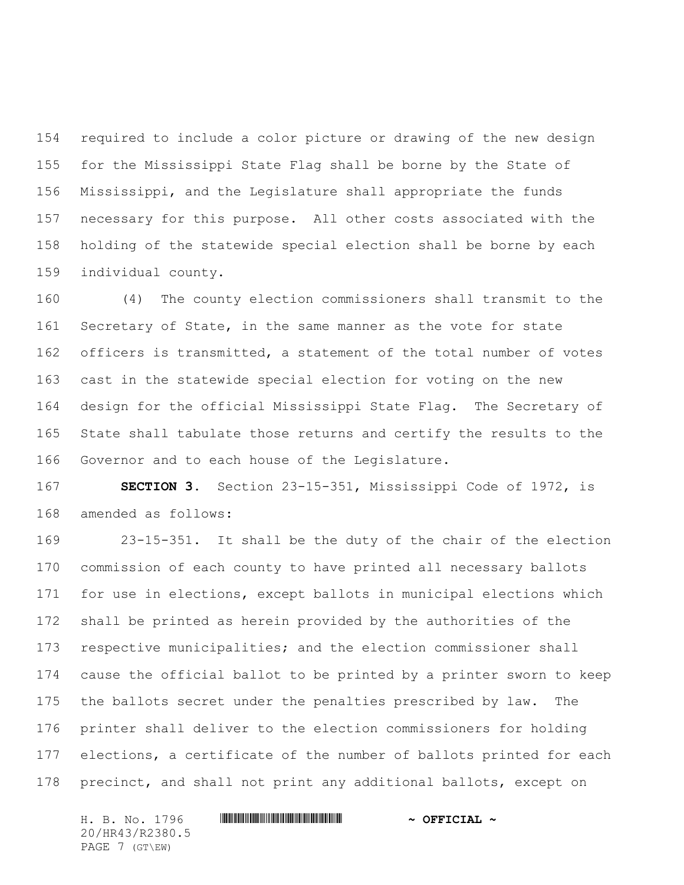required to include a color picture or drawing of the new design for the Mississippi State Flag shall be borne by the State of Mississippi, and the Legislature shall appropriate the funds necessary for this purpose. All other costs associated with the holding of the statewide special election shall be borne by each individual county.

 (4) The county election commissioners shall transmit to the 161 Secretary of State, in the same manner as the vote for state officers is transmitted, a statement of the total number of votes cast in the statewide special election for voting on the new design for the official Mississippi State Flag. The Secretary of State shall tabulate those returns and certify the results to the Governor and to each house of the Legislature.

 **SECTION 3.** Section 23-15-351, Mississippi Code of 1972, is amended as follows:

 23-15-351. It shall be the duty of the chair of the election commission of each county to have printed all necessary ballots for use in elections, except ballots in municipal elections which shall be printed as herein provided by the authorities of the respective municipalities; and the election commissioner shall cause the official ballot to be printed by a printer sworn to keep the ballots secret under the penalties prescribed by law. The printer shall deliver to the election commissioners for holding elections, a certificate of the number of ballots printed for each precinct, and shall not print any additional ballots, except on

20/HR43/R2380.5 PAGE 7 (GT\EW)

H. B. No. 1796 \*HR43/R2380.5\* **~ OFFICIAL ~**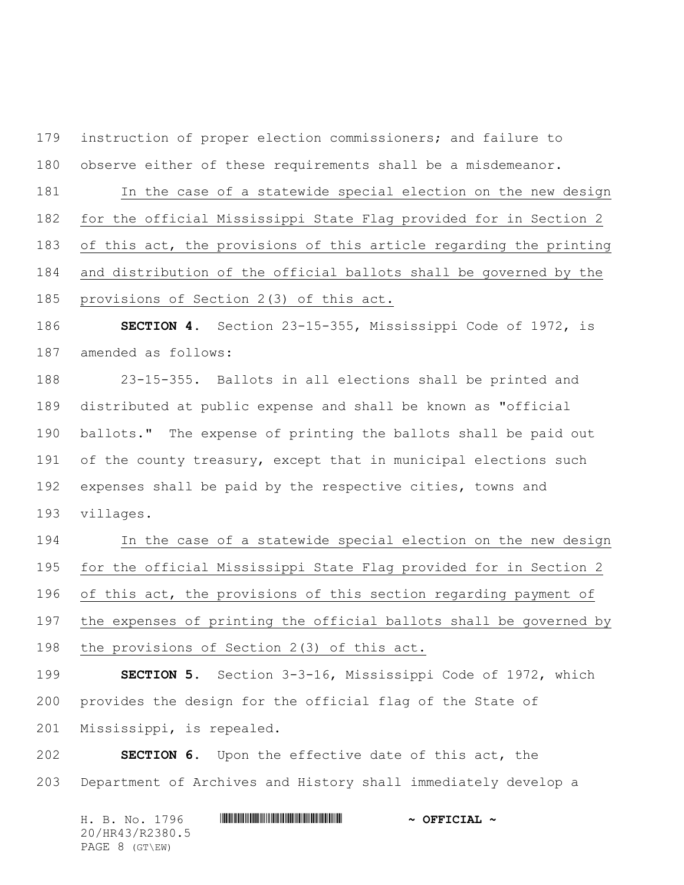instruction of proper election commissioners; and failure to

observe either of these requirements shall be a misdemeanor.

In the case of a statewide special election on the new design

for the official Mississippi State Flag provided for in Section 2

of this act, the provisions of this article regarding the printing

and distribution of the official ballots shall be governed by the

provisions of Section 2(3) of this act.

 **SECTION 4.** Section 23-15-355, Mississippi Code of 1972, is amended as follows:

 23-15-355. Ballots in all elections shall be printed and distributed at public expense and shall be known as "official ballots." The expense of printing the ballots shall be paid out 191 of the county treasury, except that in municipal elections such expenses shall be paid by the respective cities, towns and villages.

 In the case of a statewide special election on the new design for the official Mississippi State Flag provided for in Section 2 196 of this act, the provisions of this section regarding payment of the expenses of printing the official ballots shall be governed by the provisions of Section 2(3) of this act.

 **SECTION 5.** Section 3-3-16, Mississippi Code of 1972, which provides the design for the official flag of the State of Mississippi, is repealed.

 **SECTION 6.** Upon the effective date of this act, the Department of Archives and History shall immediately develop a

H. B. No. 1796 \*HR43/R2380.5\* **~ OFFICIAL ~** 20/HR43/R2380.5 PAGE 8 (GT\EW)